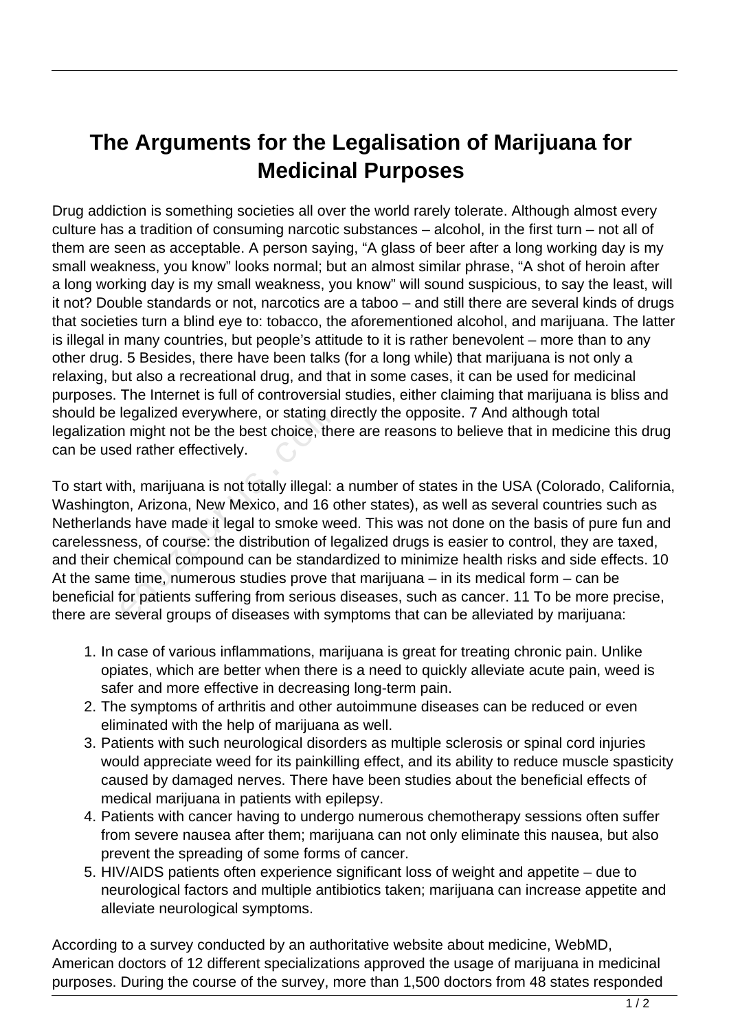## **The Arguments for the Legalisation of Marijuana for Medicinal Purposes**

Drug addiction is something societies all over the world rarely tolerate. Although almost every culture has a tradition of consuming narcotic substances – alcohol, in the first turn – not all of them are seen as acceptable. A person saying, "A glass of beer after a long working day is my small weakness, you know" looks normal; but an almost similar phrase, "A shot of heroin after a long working day is my small weakness, you know" will sound suspicious, to say the least, will it not? Double standards or not, narcotics are a taboo – and still there are several kinds of drugs that societies turn a blind eye to: tobacco, the aforementioned alcohol, and marijuana. The latter is illegal in many countries, but people's attitude to it is rather benevolent – more than to any other drug. 5 Besides, there have been talks (for a long while) that marijuana is not only a relaxing, but also a recreational drug, and that in some cases, it can be used for medicinal purposes. The Internet is full of controversial studies, either claiming that marijuana is bliss and should be legalized everywhere, or stating directly the opposite. 7 And although total legalization might not be the best choice, there are reasons to believe that in medicine this drug can be used rather effectively.

To start with, marijuana is not totally illegal: a number of states in the USA (Colorado, California, Washington, Arizona, New Mexico, and 16 other states), as well as several countries such as Netherlands have made it legal to smoke weed. This was not done on the basis of pure fun and carelessness, of course: the distribution of legalized drugs is easier to control, they are taxed, and their chemical compound can be standardized to minimize health risks and side effects. 10 At the same time, numerous studies prove that marijuana – in its medical form – can be beneficial for patients suffering from serious diseases, such as cancer. 11 To be more precise, there are several groups of diseases with symptoms that can be alleviated by marijuana: legalized everywhere, or stating d<br>
n might not be the best choice, the<br>
ed rather effectively.<br>
th, marijuana is not totally illegal:<br>
an, Arizona, New Mexico, and 16 c<br>
ds have made it legal to smoke we<br>
ess, of course:

- 1. In case of various inflammations, marijuana is great for treating chronic pain. Unlike opiates, which are better when there is a need to quickly alleviate acute pain, weed is safer and more effective in decreasing long-term pain.
- 2. The symptoms of arthritis and other autoimmune diseases can be reduced or even eliminated with the help of marijuana as well.
- 3. Patients with such neurological disorders as multiple sclerosis or spinal cord injuries would appreciate weed for its painkilling effect, and its ability to reduce muscle spasticity caused by damaged nerves. There have been studies about the beneficial effects of medical marijuana in patients with epilepsy.
- 4. Patients with cancer having to undergo numerous chemotherapy sessions often suffer from severe nausea after them; marijuana can not only eliminate this nausea, but also prevent the spreading of some forms of cancer.
- 5. HIV/AIDS patients often experience significant loss of weight and appetite due to neurological factors and multiple antibiotics taken; marijuana can increase appetite and alleviate neurological symptoms.

According to a survey conducted by an authoritative website about medicine, WebMD, American doctors of 12 different specializations approved the usage of marijuana in medicinal purposes. During the course of the survey, more than 1,500 doctors from 48 states responded